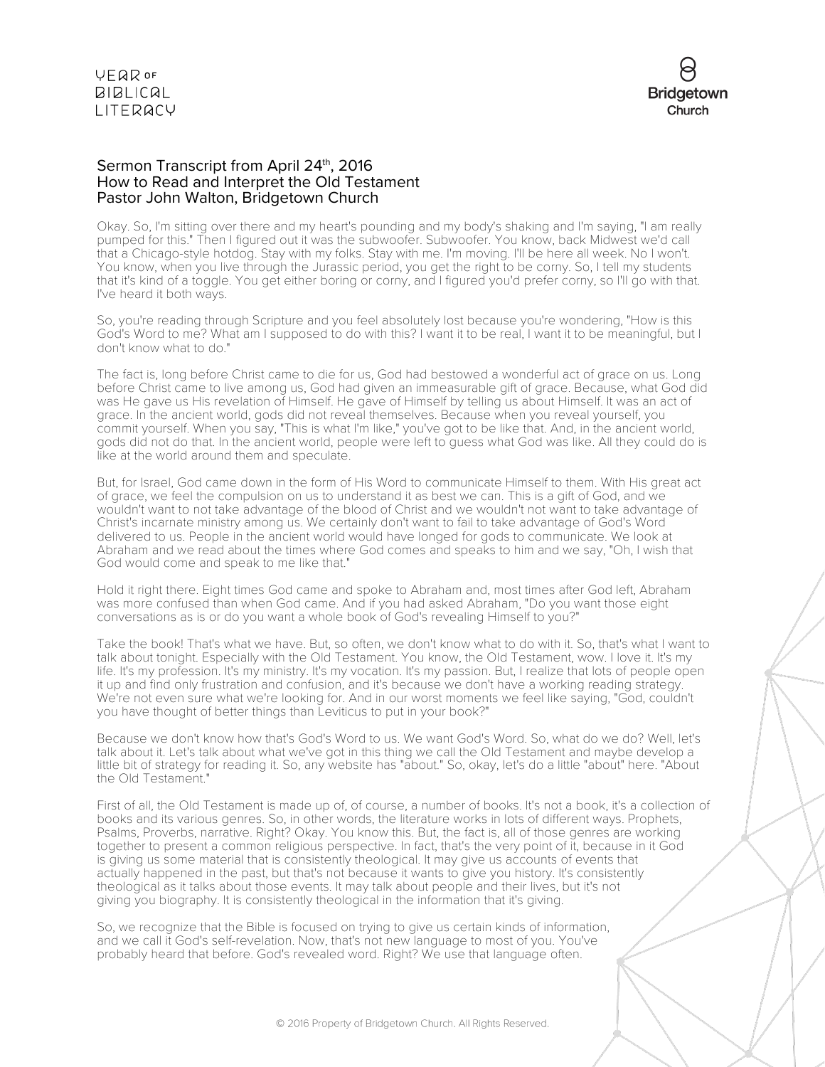VEQROF **BIBLICAL** LITERACY



#### Sermon Transcript from April 24<sup>th</sup>, 2016 How to Read and Interpret the Old Testament Pastor John Walton, Bridgetown Church

Okay. So, I'm sitting over there and my heart's pounding and my body's shaking and I'm saying, "I am really pumped for this." Then I figured out it was the subwoofer. Subwoofer. You know, back Midwest we'd call that a Chicago-style hotdog. Stay with my folks. Stay with me. I'm moving. I'll be here all week. No I won't. You know, when you live through the Jurassic period, you get the right to be corny. So, I tell my students that it's kind of a toggle. You get either boring or corny, and I figured you'd prefer corny, so I'll go with that. I've heard it both ways.

So, you're reading through Scripture and you feel absolutely lost because you're wondering, "How is this God's Word to me? What am I supposed to do with this? I want it to be real, I want it to be meaningful, but I don't know what to do."

The fact is, long before Christ came to die for us, God had bestowed a wonderful act of grace on us. Long before Christ came to live among us, God had given an immeasurable gift of grace. Because, what God did was He gave us His revelation of Himself. He gave of Himself by telling us about Himself. It was an act of grace. In the ancient world, gods did not reveal themselves. Because when you reveal yourself, you commit yourself. When you say, "This is what I'm like," you've got to be like that. And, in the ancient world, gods did not do that. In the ancient world, people were left to guess what God was like. All they could do is like at the world around them and speculate.

But, for Israel, God came down in the form of His Word to communicate Himself to them. With His great act of grace, we feel the compulsion on us to understand it as best we can. This is a gift of God, and we wouldn't want to not take advantage of the blood of Christ and we wouldn't not want to take advantage of Christ's incarnate ministry among us. We certainly don't want to fail to take advantage of God's Word delivered to us. People in the ancient world would have longed for gods to communicate. We look at Abraham and we read about the times where God comes and speaks to him and we say, "Oh, I wish that God would come and speak to me like that."

Hold it right there. Eight times God came and spoke to Abraham and, most times after God left, Abraham was more confused than when God came. And if you had asked Abraham, "Do you want those eight conversations as is or do you want a whole book of God's revealing Himself to you?"

Take the book! That's what we have. But, so often, we don't know what to do with it. So, that's what I want to talk about tonight. Especially with the Old Testament. You know, the Old Testament, wow. I love it. It's my life. It's my profession. It's my ministry. It's my vocation. It's my passion. But, I realize that lots of people open it up and find only frustration and confusion, and it's because we don't have a working reading strategy. We're not even sure what we're looking for. And in our worst moments we feel like saying, "God, couldn't you have thought of better things than Leviticus to put in your book?"

Because we don't know how that's God's Word to us. We want God's Word. So, what do we do? Well, let's talk about it. Let's talk about what we've got in this thing we call the Old Testament and maybe develop a little bit of strategy for reading it. So, any website has "about." So, okay, let's do a little "about" here. "About the Old Testament."

First of all, the Old Testament is made up of, of course, a number of books. It's not a book, it's a collection of books and its various genres. So, in other words, the literature works in lots of different ways. Prophets, Psalms, Proverbs, narrative. Right? Okay. You know this. But, the fact is, all of those genres are working together to present a common religious perspective. In fact, that's the very point of it, because in it God is giving us some material that is consistently theological. It may give us accounts of events that actually happened in the past, but that's not because it wants to give you history. It's consistently theological as it talks about those events. It may talk about people and their lives, but it's not giving you biography. It is consistently theological in the information that it's giving.

So, we recognize that the Bible is focused on trying to give us certain kinds of information, and we call it God's self-revelation. Now, that's not new language to most of you. You've probably heard that before. God's revealed word. Right? We use that language often.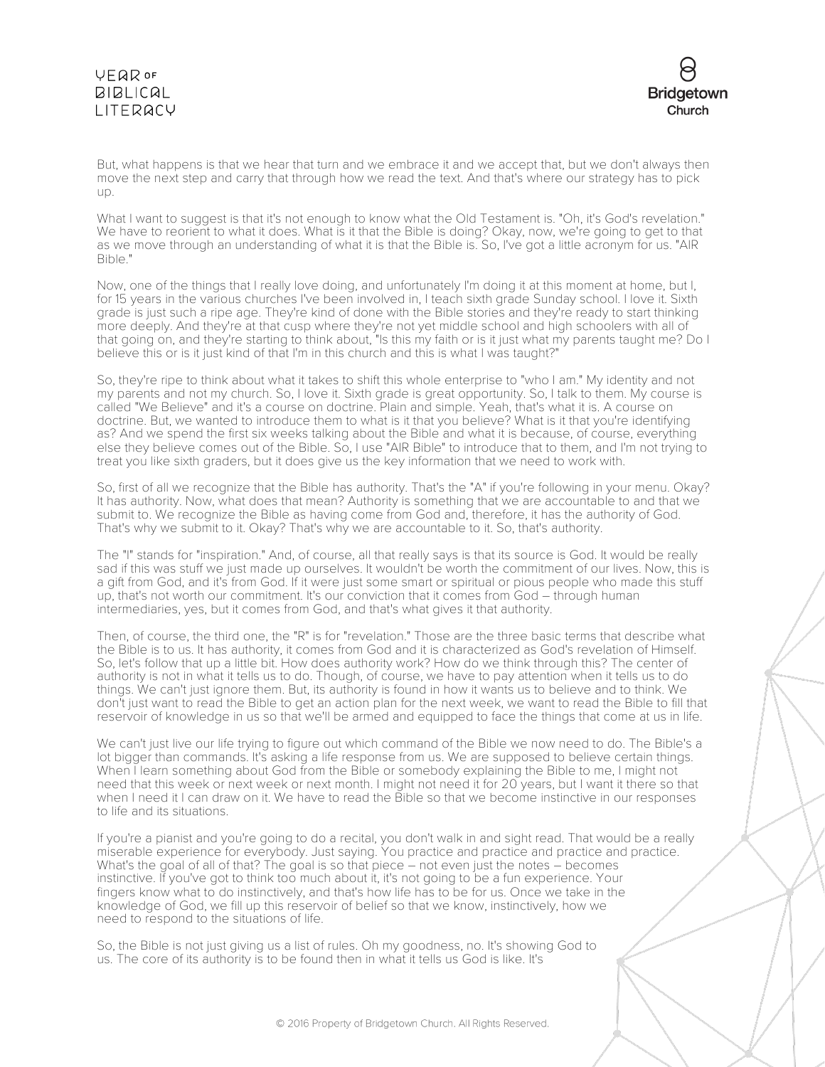# VEQROF **BIBLICAL** LITERACY



But, what happens is that we hear that turn and we embrace it and we accept that, but we don't always then move the next step and carry that through how we read the text. And that's where our strategy has to pick up.

What I want to suggest is that it's not enough to know what the Old Testament is. "Oh, it's God's revelation." We have to reorient to what it does. What is it that the Bible is doing? Okay, now, we're going to get to that as we move through an understanding of what it is that the Bible is. So, I've got a little acronym for us. "AIR Bible."

Now, one of the things that I really love doing, and unfortunately I'm doing it at this moment at home, but I, for 15 years in the various churches I've been involved in, I teach sixth grade Sunday school. I love it. Sixth grade is just such a ripe age. They're kind of done with the Bible stories and they're ready to start thinking more deeply. And they're at that cusp where they're not yet middle school and high schoolers with all of that going on, and they're starting to think about, "Is this my faith or is it just what my parents taught me? Do I believe this or is it just kind of that I'm in this church and this is what I was taught?"

So, they're ripe to think about what it takes to shift this whole enterprise to "who I am." My identity and not my parents and not my church. So, I love it. Sixth grade is great opportunity. So, I talk to them. My course is called "We Believe" and it's a course on doctrine. Plain and simple. Yeah, that's what it is. A course on doctrine. But, we wanted to introduce them to what is it that you believe? What is it that you're identifying as? And we spend the first six weeks talking about the Bible and what it is because, of course, everything else they believe comes out of the Bible. So, I use "AIR Bible" to introduce that to them, and I'm not trying to treat you like sixth graders, but it does give us the key information that we need to work with.

So, first of all we recognize that the Bible has authority. That's the "A" if you're following in your menu. Okay? It has authority. Now, what does that mean? Authority is something that we are accountable to and that we submit to. We recognize the Bible as having come from God and, therefore, it has the authority of God. That's why we submit to it. Okay? That's why we are accountable to it. So, that's authority.

The "I" stands for "inspiration." And, of course, all that really says is that its source is God. It would be really sad if this was stuff we just made up ourselves. It wouldn't be worth the commitment of our lives. Now, this is a gift from God, and it's from God. If it were just some smart or spiritual or pious people who made this stuff up, that's not worth our commitment. It's our conviction that it comes from God – through human intermediaries, yes, but it comes from God, and that's what gives it that authority.

Then, of course, the third one, the "R" is for "revelation." Those are the three basic terms that describe what the Bible is to us. It has authority, it comes from God and it is characterized as God's revelation of Himself. So, let's follow that up a little bit. How does authority work? How do we think through this? The center of authority is not in what it tells us to do. Though, of course, we have to pay attention when it tells us to do things. We can't just ignore them. But, its authority is found in how it wants us to believe and to think. We don't just want to read the Bible to get an action plan for the next week, we want to read the Bible to fill that reservoir of knowledge in us so that we'll be armed and equipped to face the things that come at us in life.

We can't just live our life trying to figure out which command of the Bible we now need to do. The Bible's a lot bigger than commands. It's asking a life response from us. We are supposed to believe certain things. When I learn something about God from the Bible or somebody explaining the Bible to me, I might not need that this week or next week or next month. I might not need it for 20 years, but I want it there so that when I need it I can draw on it. We have to read the Bible so that we become instinctive in our responses to life and its situations.

If you're a pianist and you're going to do a recital, you don't walk in and sight read. That would be a really miserable experience for everybody. Just saying. You practice and practice and practice and practice. What's the goal of all of that? The goal is so that piece – not even just the notes – becomes instinctive. If you've got to think too much about it, it's not going to be a fun experience. Your fingers know what to do instinctively, and that's how life has to be for us. Once we take in the knowledge of God, we fill up this reservoir of belief so that we know, instinctively, how we need to respond to the situations of life.

So, the Bible is not just giving us a list of rules. Oh my goodness, no. It's showing God to us. The core of its authority is to be found then in what it tells us God is like. It's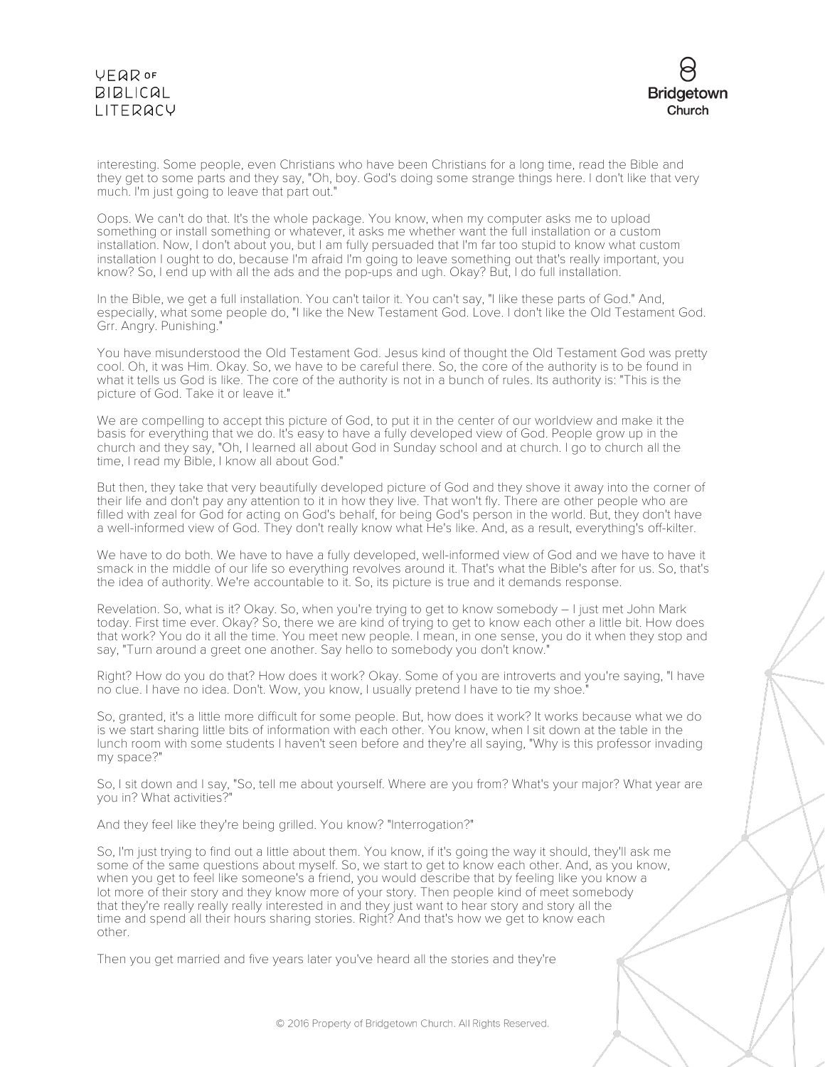# **VEQR OF BIBLICAL** LITERACY



interesting. Some people, even Christians who have been Christians for a long time, read the Bible and they get to some parts and they say, "Oh, boy. God's doing some strange things here. I don't like that very much. I'm just going to leave that part out."

Oops. We can't do that. It's the whole package. You know, when my computer asks me to upload something or install something or whatever, it asks me whether want the full installation or a custom installation. Now, I don't about you, but I am fully persuaded that I'm far too stupid to know what custom installation I ought to do, because I'm afraid I'm going to leave something out that's really important, you know? So, I end up with all the ads and the pop-ups and ugh. Okay? But, I do full installation.

In the Bible, we get a full installation. You can't tailor it. You can't say, "I like these parts of God." And, especially, what some people do, "I like the New Testament God. Love. I don't like the Old Testament God. Grr. Angry. Punishing."

You have misunderstood the Old Testament God. Jesus kind of thought the Old Testament God was pretty cool. Oh, it was Him. Okay. So, we have to be careful there. So, the core of the authority is to be found in what it tells us God is like. The core of the authority is not in a bunch of rules. Its authority is: "This is the picture of God. Take it or leave it."

We are compelling to accept this picture of God, to put it in the center of our worldview and make it the basis for everything that we do. It's easy to have a fully developed view of God. People grow up in the church and they say, "Oh, I learned all about God in Sunday school and at church. I go to church all the time, I read my Bible, I know all about God."

But then, they take that very beautifully developed picture of God and they shove it away into the corner of their life and don't pay any attention to it in how they live. That won't fly. There are other people who are filled with zeal for God for acting on God's behalf, for being God's person in the world. But, they don't have a well-informed view of God. They don't really know what He's like. And, as a result, everything's off-kilter.

We have to do both. We have to have a fully developed, well-informed view of God and we have to have it smack in the middle of our life so everything revolves around it. That's what the Bible's after for us. So, that's the idea of authority. We're accountable to it. So, its picture is true and it demands response.

Revelation. So, what is it? Okay. So, when you're trying to get to know somebody – I just met John Mark today. First time ever. Okay? So, there we are kind of trying to get to know each other a little bit. How does that work? You do it all the time. You meet new people. I mean, in one sense, you do it when they stop and say, "Turn around a greet one another. Say hello to somebody you don't know."

Right? How do you do that? How does it work? Okay. Some of you are introverts and you're saying, "I have no clue. I have no idea. Don't. Wow, you know, I usually pretend I have to tie my shoe."

So, granted, it's a little more difficult for some people. But, how does it work? It works because what we do is we start sharing little bits of information with each other. You know, when I sit down at the table in the lunch room with some students I haven't seen before and they're all saying, "Why is this professor invading my space?"

So, I sit down and I say, "So, tell me about yourself. Where are you from? What's your major? What year are you in? What activities?"

And they feel like they're being grilled. You know? "Interrogation?"

So, I'm just trying to find out a little about them. You know, if it's going the way it should, they'll ask me some of the same questions about myself. So, we start to get to know each other. And, as you know, when you get to feel like someone's a friend, you would describe that by feeling like you know a lot more of their story and they know more of your story. Then people kind of meet somebody that they're really really really interested in and they just want to hear story and story all the time and spend all their hours sharing stories. Right? And that's how we get to know each other.

Then you get married and five years later you've heard all the stories and they're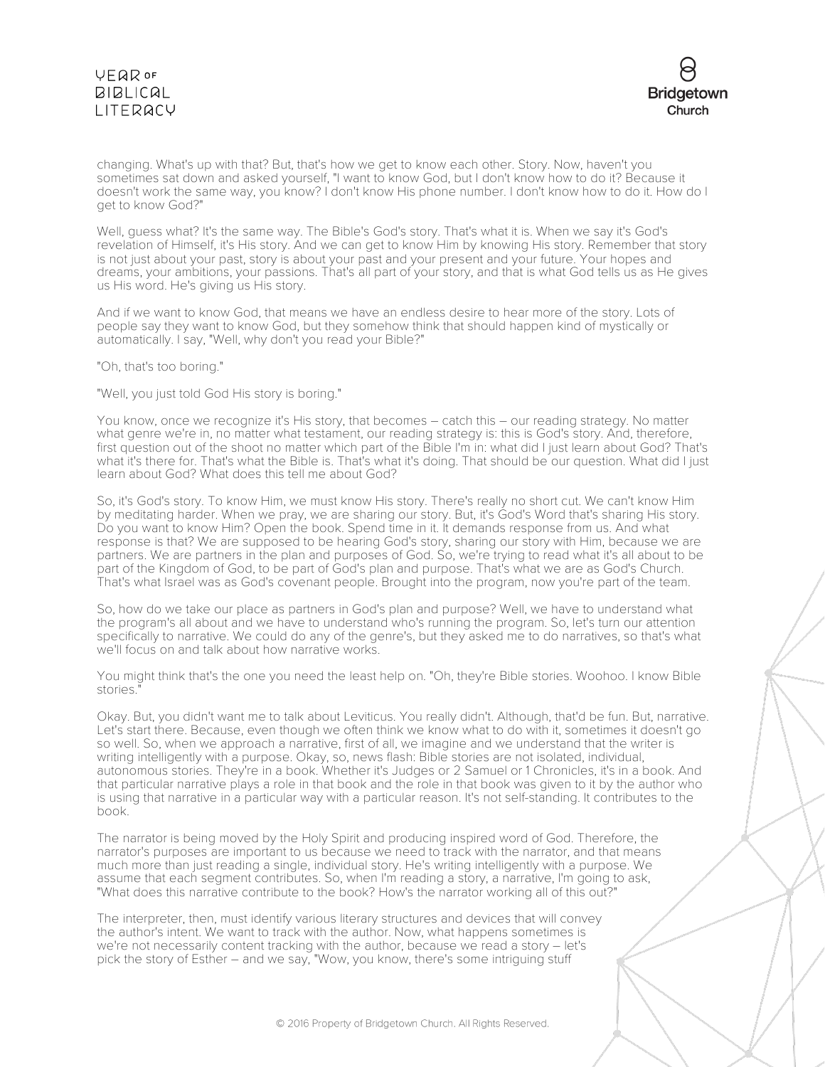# **VFQR OF BIBLICAL** LITERACY



changing. What's up with that? But, that's how we get to know each other. Story. Now, haven't you sometimes sat down and asked yourself, "I want to know God, but I don't know how to do it? Because it doesn't work the same way, you know? I don't know His phone number. I don't know how to do it. How do I get to know God?"

Well, guess what? It's the same way. The Bible's God's story. That's what it is. When we say it's God's revelation of Himself, it's His story. And we can get to know Him by knowing His story. Remember that story is not just about your past, story is about your past and your present and your future. Your hopes and dreams, your ambitions, your passions. That's all part of your story, and that is what God tells us as He gives us His word. He's giving us His story.

And if we want to know God, that means we have an endless desire to hear more of the story. Lots of people say they want to know God, but they somehow think that should happen kind of mystically or automatically. I say, "Well, why don't you read your Bible?"

"Oh, that's too boring."

"Well, you just told God His story is boring."

You know, once we recognize it's His story, that becomes – catch this – our reading strategy. No matter what genre we're in, no matter what testament, our reading strategy is: this is God's story. And, therefore, first question out of the shoot no matter which part of the Bible I'm in: what did I just learn about God? That's what it's there for. That's what the Bible is. That's what it's doing. That should be our question. What did I just learn about God? What does this tell me about God?

So, it's God's story. To know Him, we must know His story. There's really no short cut. We can't know Him by meditating harder. When we pray, we are sharing our story. But, it's God's Word that's sharing His story. Do you want to know Him? Open the book. Spend time in it. It demands response from us. And what response is that? We are supposed to be hearing God's story, sharing our story with Him, because we are partners. We are partners in the plan and purposes of God. So, we're trying to read what it's all about to be part of the Kingdom of God, to be part of God's plan and purpose. That's what we are as God's Church. That's what Israel was as God's covenant people. Brought into the program, now you're part of the team.

So, how do we take our place as partners in God's plan and purpose? Well, we have to understand what the program's all about and we have to understand who's running the program. So, let's turn our attention specifically to narrative. We could do any of the genre's, but they asked me to do narratives, so that's what we'll focus on and talk about how narrative works.

You might think that's the one you need the least help on. "Oh, they're Bible stories. Woohoo. I know Bible stories."

Okay. But, you didn't want me to talk about Leviticus. You really didn't. Although, that'd be fun. But, narrative. Let's start there. Because, even though we often think we know what to do with it, sometimes it doesn't go so well. So, when we approach a narrative, first of all, we imagine and we understand that the writer is writing intelligently with a purpose. Okay, so, news flash: Bible stories are not isolated, individual, autonomous stories. They're in a book. Whether it's Judges or 2 Samuel or 1 Chronicles, it's in a book. And that particular narrative plays a role in that book and the role in that book was given to it by the author who is using that narrative in a particular way with a particular reason. It's not self-standing. It contributes to the book.

The narrator is being moved by the Holy Spirit and producing inspired word of God. Therefore, the narrator's purposes are important to us because we need to track with the narrator, and that means much more than just reading a single, individual story. He's writing intelligently with a purpose. We assume that each segment contributes. So, when I'm reading a story, a narrative, I'm going to ask, "What does this narrative contribute to the book? How's the narrator working all of this out?"

The interpreter, then, must identify various literary structures and devices that will convey the author's intent. We want to track with the author. Now, what happens sometimes is we're not necessarily content tracking with the author, because we read a story – let's pick the story of Esther – and we say, "Wow, you know, there's some intriguing stuff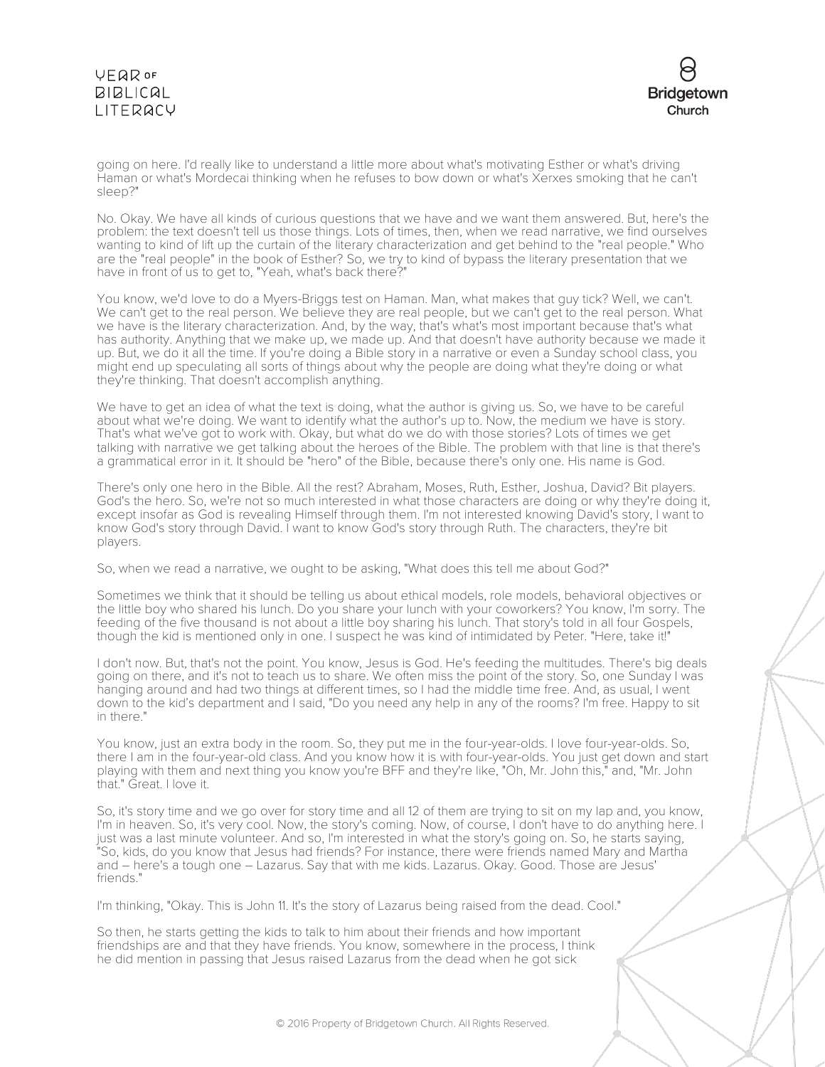# VEQROF **BIBLICAL** LITERACY



going on here. I'd really like to understand a little more about what's motivating Esther or what's driving Haman or what's Mordecai thinking when he refuses to bow down or what's Xerxes smoking that he can't sleep?"

No. Okay. We have all kinds of curious questions that we have and we want them answered. But, here's the problem: the text doesn't tell us those things. Lots of times, then, when we read narrative, we find ourselves wanting to kind of lift up the curtain of the literary characterization and get behind to the "real people." Who are the "real people" in the book of Esther? So, we try to kind of bypass the literary presentation that we have in front of us to get to, "Yeah, what's back there?"

You know, we'd love to do a Myers-Briggs test on Haman. Man, what makes that guy tick? Well, we can't. We can't get to the real person. We believe they are real people, but we can't get to the real person. What we have is the literary characterization. And, by the way, that's what's most important because that's what has authority. Anything that we make up, we made up. And that doesn't have authority because we made it up. But, we do it all the time. If you're doing a Bible story in a narrative or even a Sunday school class, you might end up speculating all sorts of things about why the people are doing what they're doing or what they're thinking. That doesn't accomplish anything.

We have to get an idea of what the text is doing, what the author is giving us. So, we have to be careful about what we're doing. We want to identify what the author's up to. Now, the medium we have is story. That's what we've got to work with. Okay, but what do we do with those stories? Lots of times we get talking with narrative we get talking about the heroes of the Bible. The problem with that line is that there's a grammatical error in it. It should be "hero" of the Bible, because there's only one. His name is God.

There's only one hero in the Bible. All the rest? Abraham, Moses, Ruth, Esther, Joshua, David? Bit players. God's the hero. So, we're not so much interested in what those characters are doing or why they're doing it, except insofar as God is revealing Himself through them. I'm not interested knowing David's story, I want to know God's story through David. I want to know God's story through Ruth. The characters, they're bit players.

So, when we read a narrative, we ought to be asking, "What does this tell me about God?"

Sometimes we think that it should be telling us about ethical models, role models, behavioral objectives or the little boy who shared his lunch. Do you share your lunch with your coworkers? You know, I'm sorry. The feeding of the five thousand is not about a little boy sharing his lunch. That story's told in all four Gospels, though the kid is mentioned only in one. I suspect he was kind of intimidated by Peter. "Here, take it!"

I don't now. But, that's not the point. You know, Jesus is God. He's feeding the multitudes. There's big deals going on there, and it's not to teach us to share. We often miss the point of the story. So, one Sunday I was hanging around and had two things at different times, so I had the middle time free. And, as usual, I went down to the kid's department and I said, "Do you need any help in any of the rooms? I'm free. Happy to sit in there."

You know, just an extra body in the room. So, they put me in the four-year-olds. I love four-year-olds. So, there I am in the four-year-old class. And you know how it is with four-year-olds. You just get down and start playing with them and next thing you know you're BFF and they're like, "Oh, Mr. John this," and, "Mr. John that." Great. I love it.

So, it's story time and we go over for story time and all 12 of them are trying to sit on my lap and, you know, I'm in heaven. So, it's very cool. Now, the story's coming. Now, of course, I don't have to do anything here. I just was a last minute volunteer. And so, I'm interested in what the story's going on. So, he starts saying, "So, kids, do you know that Jesus had friends? For instance, there were friends named Mary and Martha and – here's a tough one – Lazarus. Say that with me kids. Lazarus. Okay. Good. Those are Jesus' friends."

I'm thinking, "Okay. This is John 11. It's the story of Lazarus being raised from the dead. Cool."

So then, he starts getting the kids to talk to him about their friends and how important friendships are and that they have friends. You know, somewhere in the process, I think he did mention in passing that Jesus raised Lazarus from the dead when he got sick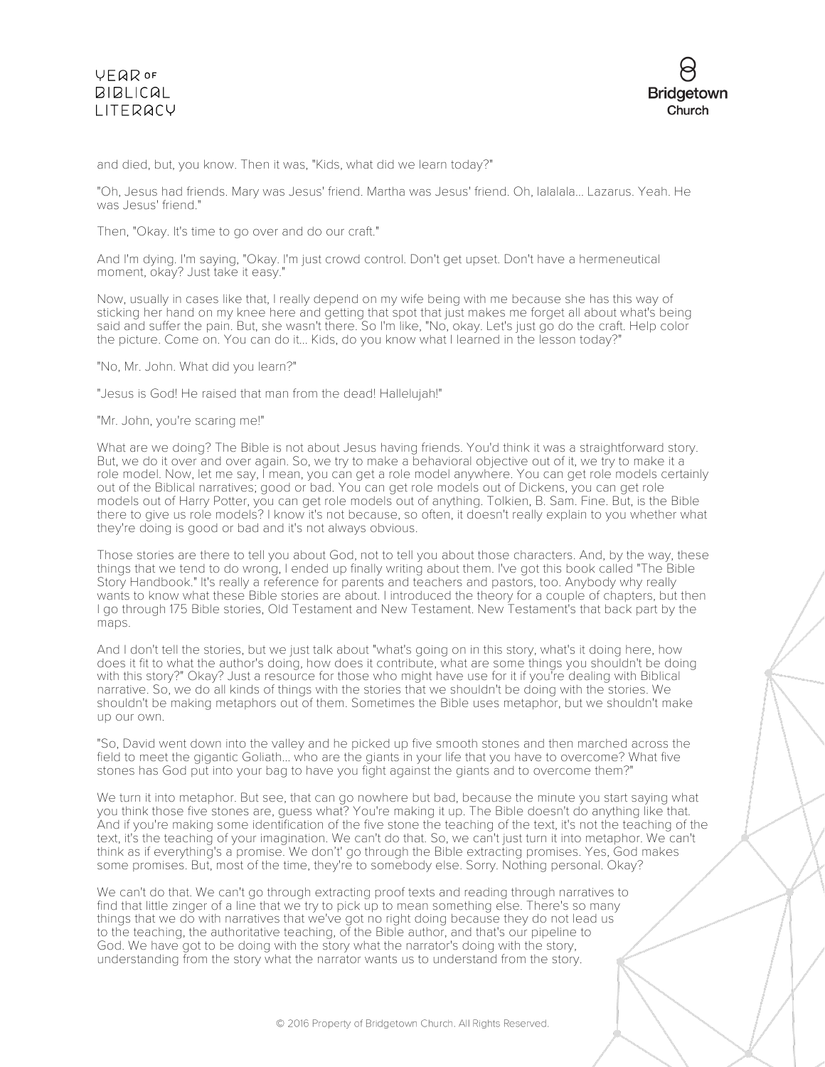### **VFQR OF BIBLICAL** LITERACY



and died, but, you know. Then it was, "Kids, what did we learn today?"

"Oh, Jesus had friends. Mary was Jesus' friend. Martha was Jesus' friend. Oh, lalalala... Lazarus. Yeah. He was Jesus' friend."

Then, "Okay. It's time to go over and do our craft."

And I'm dying. I'm saying, "Okay. I'm just crowd control. Don't get upset. Don't have a hermeneutical moment, okay? Just take it easy."

Now, usually in cases like that, I really depend on my wife being with me because she has this way of sticking her hand on my knee here and getting that spot that just makes me forget all about what's being said and suffer the pain. But, she wasn't there. So I'm like, "No, okay. Let's just go do the craft. Help color the picture. Come on. You can do it... Kids, do you know what I learned in the lesson today?"

"No, Mr. John. What did you learn?"

"Jesus is God! He raised that man from the dead! Hallelujah!"

"Mr. John, you're scaring me!"

What are we doing? The Bible is not about Jesus having friends. You'd think it was a straightforward story. But, we do it over and over again. So, we try to make a behavioral objective out of it, we try to make it a role model. Now, let me say, I mean, you can get a role model anywhere. You can get role models certainly out of the Biblical narratives; good or bad. You can get role models out of Dickens, you can get role models out of Harry Potter, you can get role models out of anything. Tolkien, B. Sam. Fine. But, is the Bible there to give us role models? I know it's not because, so often, it doesn't really explain to you whether what they're doing is good or bad and it's not always obvious.

Those stories are there to tell you about God, not to tell you about those characters. And, by the way, these things that we tend to do wrong, I ended up finally writing about them. I've got this book called "The Bible Story Handbook." It's really a reference for parents and teachers and pastors, too. Anybody why really wants to know what these Bible stories are about. I introduced the theory for a couple of chapters, but then I go through 175 Bible stories, Old Testament and New Testament. New Testament's that back part by the maps.

And I don't tell the stories, but we just talk about "what's going on in this story, what's it doing here, how does it fit to what the author's doing, how does it contribute, what are some things you shouldn't be doing with this story?" Okay? Just a resource for those who might have use for it if you're dealing with Biblical narrative. So, we do all kinds of things with the stories that we shouldn't be doing with the stories. We shouldn't be making metaphors out of them. Sometimes the Bible uses metaphor, but we shouldn't make up our own.

"So, David went down into the valley and he picked up five smooth stones and then marched across the field to meet the gigantic Goliath... who are the giants in your life that you have to overcome? What five stones has God put into your bag to have you fight against the giants and to overcome them?"

We turn it into metaphor. But see, that can go nowhere but bad, because the minute you start saying what you think those five stones are, guess what? You're making it up. The Bible doesn't do anything like that. And if you're making some identification of the five stone the teaching of the text, it's not the teaching of the text, it's the teaching of your imagination. We can't do that. So, we can't just turn it into metaphor. We can't think as if everything's a promise. We don't' go through the Bible extracting promises. Yes, God makes some promises. But, most of the time, they're to somebody else. Sorry. Nothing personal. Okay?

We can't do that. We can't go through extracting proof texts and reading through narratives to find that little zinger of a line that we try to pick up to mean something else. There's so many things that we do with narratives that we've got no right doing because they do not lead us to the teaching, the authoritative teaching, of the Bible author, and that's our pipeline to God. We have got to be doing with the story what the narrator's doing with the story, understanding from the story what the narrator wants us to understand from the story.